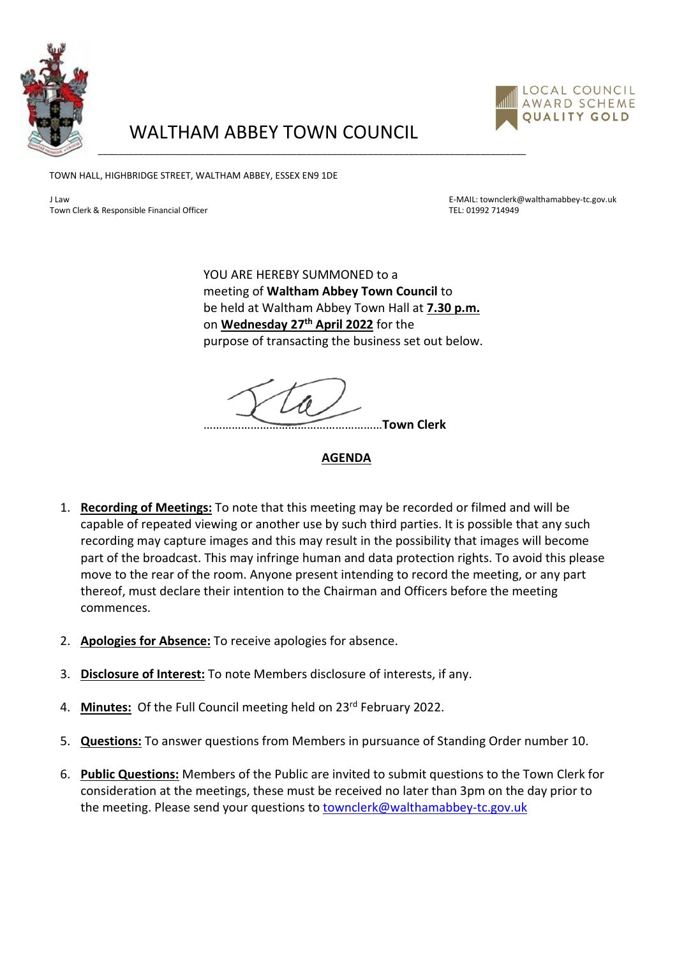

## WALTHAM ABBEY TOWN COUNCIL

\_\_\_\_\_\_\_\_\_\_\_\_\_\_\_\_\_\_\_\_\_\_\_\_\_\_\_\_\_\_\_\_\_\_\_\_\_\_\_\_\_\_\_\_\_\_\_\_\_\_\_\_\_\_\_\_\_\_\_\_\_\_\_\_\_\_\_\_\_\_\_\_\_\_\_\_\_\_\_\_\_\_\_\_



TOWN HALL, HIGHBRIDGE STREET, WALTHAM ABBEY, ESSEX EN9 1DE

Town Clerk & Responsible Financial Officer Text Communications of the Communication of the TEL: 01992 714949

J Law E-MAIL: townclerk@walthamabbey-tc.gov.uk

YOU ARE HEREBY SUMMONED to a meeting of **Waltham Abbey Town Council** to be held at Waltham Abbey Town Hall at **7.30 p.m.** on **Wednesday 27th April 2022** for the purpose of transacting the business set out below.

…………………………………………………**Town Clerk**

## **AGENDA**

- 1. **Recording of Meetings:** To note that this meeting may be recorded or filmed and will be capable of repeated viewing or another use by such third parties. It is possible that any such recording may capture images and this may result in the possibility that images will become part of the broadcast. This may infringe human and data protection rights. To avoid this please move to the rear of the room. Anyone present intending to record the meeting, or any part thereof, must declare their intention to the Chairman and Officers before the meeting commences.
- 2. **Apologies for Absence:** To receive apologies for absence.
- 3. **Disclosure of Interest:** To note Members disclosure of interests, if any.
- 4. **Minutes:** Of the Full Council meeting held on 23rd February 2022.
- 5. **Questions:** To answer questions from Members in pursuance of Standing Order number 10.
- 6. **Public Questions:** Members of the Public are invited to submit questions to the Town Clerk for consideration at the meetings, these must be received no later than 3pm on the day prior to the meeting. Please send your questions to [townclerk@walthamabbey-tc.gov.uk](mailto:townclerk@walthamabbey-tc.gov.uk)